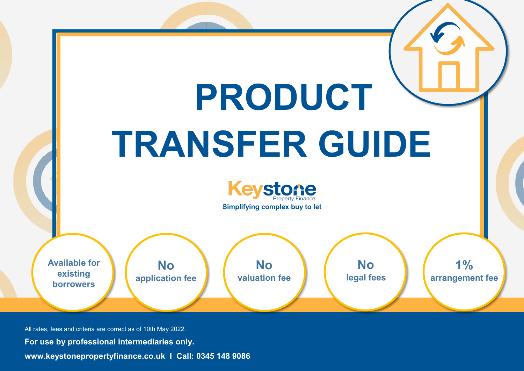

All rates, fees and criteria are correct as of 10th May 2022. **For use by professional intermediaries only. www.keystonepropertyfinance.co.uk I Call: 0345 148 9086**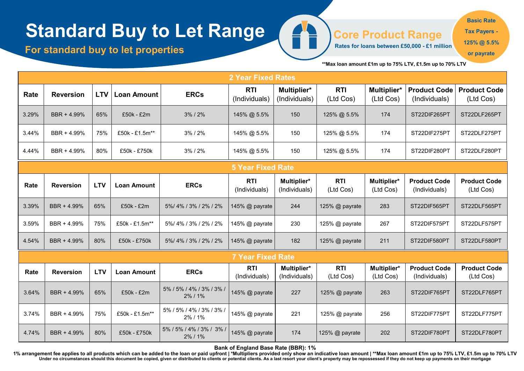# **Standard Buy to Let Range**

**For standard buy to let properties** 

**Core Product Range**

**Rates for loans between £50,000 - £1 million** 

**125% @ 5.5%** 

**or payrate**

**Basic Rate Tax Payers -**

**\*\*Max loan amount £1m up to 75% LTV, £1.5m up to 70% LTV** 

|                          |                  |            |                    |                                        | <b>2 Year Fixed Rates</b>   |                              |                         |                          |                                      |                                  |  |
|--------------------------|------------------|------------|--------------------|----------------------------------------|-----------------------------|------------------------------|-------------------------|--------------------------|--------------------------------------|----------------------------------|--|
| Rate                     | <b>Reversion</b> | <b>LTV</b> | <b>Loan Amount</b> | <b>ERCs</b>                            | <b>RTI</b><br>(Individuals) | Multiplier*<br>(Individuals) | <b>RTI</b><br>(Ltd Cos) | Multiplier*<br>(Ltd Cos) | <b>Product Code</b><br>(Individuals) | <b>Product Code</b><br>(Ltd Cos) |  |
| 3.29%                    | BBR + 4.99%      | 65%        | £50k - £2m         | 3% / 2%                                | 145% @ 5.5%                 | 150                          | 125% @ 5.5%             | 174                      | ST22DIF265PT                         | ST22DLF265PT                     |  |
| 3.44%                    | BBR + 4.99%      | 75%        | £50k - £1.5m**     | 3%/2%                                  | 145% @ 5.5%                 | 150                          | 125% @ 5.5%             | 174                      | ST22DIF275PT                         | ST22DLF275PT                     |  |
| 4.44%                    | BBR + 4.99%      | 80%        | £50k - £750k       | 3% / 2%                                | 145% @ 5.5%                 | 150                          | 125% @ 5.5%             | 174                      | ST22DIF280PT                         | ST22DLF280PT                     |  |
| <b>5 Year Fixed Rate</b> |                  |            |                    |                                        |                             |                              |                         |                          |                                      |                                  |  |
| Rate                     | <b>Reversion</b> | <b>LTV</b> | <b>Loan Amount</b> | <b>ERCs</b>                            | <b>RTI</b><br>(Individuals) | Multiplier*<br>(Individuals) | <b>RTI</b><br>(Ltd Cos) | Multiplier*<br>(Ltd Cos) | <b>Product Code</b><br>(Individuals) | <b>Product Code</b><br>(Ltd Cos) |  |
| 3.39%                    | BBR + 4.99%      | 65%        | £50k - £2m         | 5%/4%/3%/2%/2%                         | 145% @ payrate              | 244                          | 125% @ payrate          | 283                      | ST22DIF565PT                         | ST22DLF565PT                     |  |
| 3.59%                    | BBR + 4.99%      | 75%        | £50k - £1.5m**     | 5%/4%/3%/2%/2%                         | 145% @ payrate              | 230                          | 125% @ payrate          | 267                      | ST22DIF575PT                         | ST22DLF575PT                     |  |
| 4.54%                    | BBR + 4.99%      | 80%        | £50k - £750k       | 5%/4%/3%/2%/2%                         | 145% @ payrate              | 182                          | 125% @ payrate          | 211                      | ST22DIF580PT                         | ST22DLF580PT                     |  |
|                          |                  |            |                    |                                        | <b>7 Year Fixed Rate</b>    |                              |                         |                          |                                      |                                  |  |
| Rate                     | <b>Reversion</b> | <b>LTV</b> | <b>Loan Amount</b> | <b>ERCs</b>                            | <b>RTI</b><br>(Individuals) | Multiplier*<br>(Individuals) | <b>RTI</b><br>(Ltd Cos) | Multiplier*<br>(Ltd Cos) | <b>Product Code</b><br>(Individuals) | <b>Product Code</b><br>(Ltd Cos) |  |
| 3.64%                    | BBR + 4.99%      | 65%        | £50k - £2m         | 5% / 5% / 4% / 3% / 3% /<br>$2\%$ / 1% | 145% @ payrate              | 227                          | 125% @ payrate          | 263                      | ST22DIF765PT                         | ST22DLF765PT                     |  |
| 3.74%                    | BBR + 4.99%      | 75%        | £50k - £1.5m**     | 5% / 5% / 4% / 3% / 3% /<br>2%/1%      | 145% @ payrate              | 221                          | 125% @ payrate          | 256                      | ST22DIF775PT                         | ST22DLF775PT                     |  |
| 4.74%                    | BBR + 4.99%      | 80%        | £50k - £750k       | 5% / 5% / 4% / 3% / 3% /<br>2%/1%      | 145% @ payrate              | 174                          | 125% @ payrate          | 202                      | ST22DIF780PT                         | ST22DLF780PT                     |  |

A

**Bank of England Base Rate (BBR): 1%** 

1% arrangement fee applies to all products which can be added to the loan or paid upfront | \*Multipliers provided only show an indicative loan amount | \*\*Max loan amount £1m up to 75% LTV, £1.5m up to 70% LTV<br>Under no circ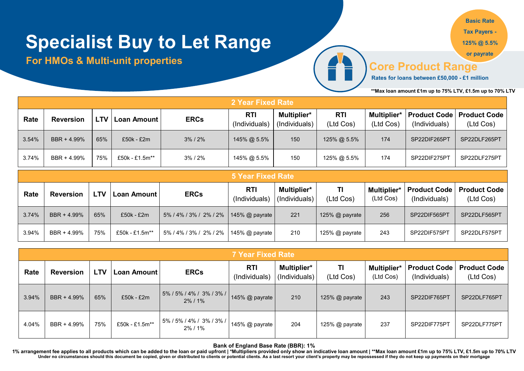# **Specialist Buy to Let Range**

### **For HMOs & Multi-unit properties**

**Basic Rate Tax Payers -**

**125% @ 5.5%** 

**or payrate**

## **Core Product Range**

**Rates for loans between £50,000 - £1 million** 

**\*\*Max loan amount £1m up to 75% LTV, £1.5m up to 70% LTV** 

|       | 2 Year Fixed Rate |     |                |               |                             |                                     |                         |                          |               |                                                   |  |  |
|-------|-------------------|-----|----------------|---------------|-----------------------------|-------------------------------------|-------------------------|--------------------------|---------------|---------------------------------------------------|--|--|
| Rate  | <b>Reversion</b>  | LTV | Loan Amount    | <b>ERCs</b>   | <b>RTI</b><br>(Individuals) | <b>Multiplier*</b><br>(Individuals) | <b>RTI</b><br>(Ltd Cos) | Multiplier*<br>(Ltd Cos) | (Individuals) | <b>Product Code   Product Code  </b><br>(Ltd Cos) |  |  |
| 3.54% | BBR + 4.99%       | 65% | £50k - £2m     | $3\%$ / $2\%$ | 145% @ 5.5%                 | 150                                 | 125% @ 5.5%             | 174                      | SP22DIF265PT  | SP22DLF265PT                                      |  |  |
| 3.74% | BBR + 4.99%       | 75% | £50k - £1.5m** | $3\%$ / $2\%$ | 145% @ 5.5%                 | 150                                 | 125% @ 5.5%             | 174                      | SP22DIF275PT  | SP22DLF275PT                                      |  |  |

|       | 5 Year Fixed Rate |            |                |                        |                       |                              |                 |           |                                               |                                  |  |  |
|-------|-------------------|------------|----------------|------------------------|-----------------------|------------------------------|-----------------|-----------|-----------------------------------------------|----------------------------------|--|--|
| Rate  | <b>Reversion</b>  | <b>LTV</b> | Loan Amount    | <b>ERCs</b>            | RTI<br>(Individuals)  | Multiplier*<br>(Individuals) | ΤI<br>(Ltd Cos) | (Ltd Cos) | Multiplier*   Product Code  <br>(Individuals) | <b>Product Code</b><br>(Ltd Cos) |  |  |
| 3.74% | BBR + 4.99%       | 65%        | $£50k - £2m$   | 5% / 4% / 3% / 2% / 2% | 145% $\omega$ payrate | 221                          | 125% @ payrate  | 256       | SP22DIF565PT                                  | SP22DLF565PT                     |  |  |
| 3.94% | BBR + 4.99%       | 75%        | £50k - £1.5m** | 5% / 4% / 3% / 2% / 2% | 145% $\omega$ payrate | 210                          | 125% @ payrate  | 243       | SP22DIF575PT                                  | SP22DLF575PT                     |  |  |

|       | <b>7 Year Fixed Rate</b> |     |                |                                        |                             |                              |                 |                                 |                                      |                                  |  |  |
|-------|--------------------------|-----|----------------|----------------------------------------|-----------------------------|------------------------------|-----------------|---------------------------------|--------------------------------------|----------------------------------|--|--|
| Rate  | <b>Reversion</b>         | LTV | Loan Amount    | <b>ERCs</b>                            | <b>RTI</b><br>(Individuals) | Multiplier*<br>(Individuals) | TI<br>(Ltd Cos) | <b>Multiplier*</b><br>(Ltd Cos) | <b>Product Code</b><br>(Individuals) | <b>Product Code</b><br>(Ltd Cos) |  |  |
| 3.94% | BBR + 4.99%              | 65% | £50k - £2m     | 5% / 5% / 4% / 3% / 3% /<br>$2\%$ / 1% | 145% @ payrate              | 210                          | 125% @ payrate  | 243                             | SP22DIF765PT                         | SP22DLF765PT                     |  |  |
| 4.04% | BBR + 4.99%              | 75% | £50k - £1.5m** | 5% / 5% / 4% / 3% / 3% /<br>$2\%$ / 1% | 145% $@$ payrate            | 204                          | 125% @ payrate  | 237                             | SP22DIF775PT                         | SP22DLF775PT                     |  |  |

**Bank of England Base Rate (BBR): 1%** 

**1% arrangement fee applies to all products which can be added to the loan or paid upfront | \*Multipliers provided only show an indicative loan amount | \*\*Max loan amount £1m up to 75% LTV, £1.5m up to 70% LTV**  Under no circumstances should this document be copied, given or distributed to clients or potential clients. As a last resort your client's property may be repossessed if they do not keep up payments on their mortgage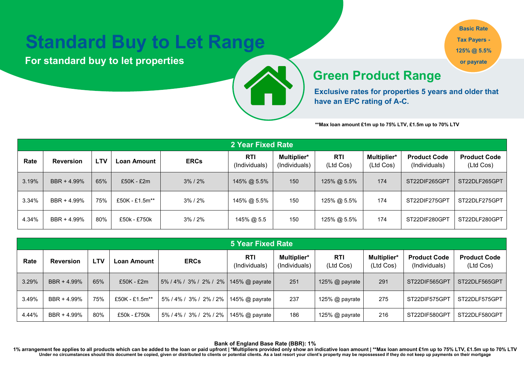## **Standard Buy to Let Range**

**For standard buy to let properties** 



**Basic Rate Tax Payers - 125% @ 5.5% or payrate**

#### *Available on loans from £250k- £1m*  **Green Product Range**

**Exclusive rates for properties 5 years and older that have an EPC rating of A-C.**

**\*\*Max loan amount £1m up to 75% LTV, £1.5m up to 70% LTV** 

|       | 2 Year Fixed Rate |            |                |               |                      |                              |                         |                          |                                      |                                  |  |  |
|-------|-------------------|------------|----------------|---------------|----------------------|------------------------------|-------------------------|--------------------------|--------------------------------------|----------------------------------|--|--|
| Rate  | <b>Reversion</b>  | <b>LTV</b> | ∟oan Amount    | <b>ERCs</b>   | RTI<br>(Individuals) | Multiplier*<br>(Individuals) | <b>RTI</b><br>(Ltd Cos) | Multiplier*<br>(Ltd Cos) | <b>Product Code</b><br>(Individuals) | <b>Product Code</b><br>(Ltd Cos) |  |  |
| 3.19% | BBR + 4.99%       | 65%        | £50K - £2m     | $3\%$ / $2\%$ | 145% @ 5.5%          | 150                          | 125% @ 5.5%             | 174                      | ST22DIF265GPT                        | ST22DLF265GPT                    |  |  |
| 3.34% | BBR + 4.99%       | 75%        | £50K - £1.5m** | $3\%$ / $2\%$ | 145% @ 5.5%          | 150                          | 125% @ 5.5%             | 174                      | ST22DIF275GPT                        | ST22DLF275GPT                    |  |  |
| 4.34% | BBR + 4.99%       | 80%        | £50k - £750k   | $3\%$ / $2\%$ | 145% @ 5.5           | 150                          | 125% @ 5.5%             | 174                      | ST22DIF280GPT                        | ST22DLF280GPT                    |  |  |

|       | 5 Year Fixed Rate |            |                |                            |                             |                              |                  |                          |                                      |                                  |  |  |
|-------|-------------------|------------|----------------|----------------------------|-----------------------------|------------------------------|------------------|--------------------------|--------------------------------------|----------------------------------|--|--|
| Rate  | <b>Reversion</b>  | <b>LTV</b> | Loan Amount    | <b>ERCs</b>                | <b>RTI</b><br>(Individuals) | Multiplier*<br>(Individuals) | RTI<br>(Ltd Cos) | Multiplier*<br>(Ltd Cos) | <b>Product Code</b><br>(Individuals) | <b>Product Code</b><br>(Ltd Cos) |  |  |
| 3.29% | BBR + 4.99%       | 65%        | £50K - £2m     | $15\%$ / 4% / 3% / 2% / 2% | 145% $\omega$ payrate       | 251                          | 125% @ payrate   | 291                      | ST22DIF565GP1                        | ST22DLF565GPT                    |  |  |
| 3.49% | BBR + 4.99%       | 75%        | £50K - £1.5m** | 5% / 4% / 3% / 2% / 2%     | 145% @ payrate              | 237                          | 125% @ payrate   | 275                      | ST22DIF575GPT                        | ST22DLF575GPT                    |  |  |
| 4.44% | BBR + 4.99%       | 80%        | £50k - £750k   | 5% / 4% / 3% / 2% / 2%     | 145% @ payrate              | 186                          | 125% @ payrate   | 216                      | ST22DIF580GPT                        | ST22DLF580GPT                    |  |  |

**Bank of England Base Rate (BBR): 1%** 

**1% arrangement fee applies to all products which can be added to the loan or paid upfront | \*Multipliers provided only show an indicative loan amount | \*\*Max loan amount £1m up to 75% LTV, £1.5m up to 70% LTV**  Under no circumstances should this document be copied, given or distributed to clients or potential clients. As a last resort your client's property may be repossessed if they do not keep up payments on their mortgage